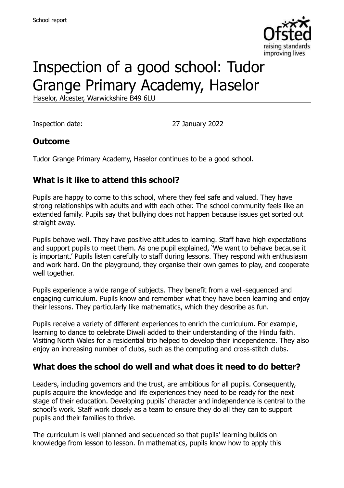

# Inspection of a good school: Tudor Grange Primary Academy, Haselor

Haselor, Alcester, Warwickshire B49 6LU

Inspection date: 27 January 2022

#### **Outcome**

Tudor Grange Primary Academy, Haselor continues to be a good school.

#### **What is it like to attend this school?**

Pupils are happy to come to this school, where they feel safe and valued. They have strong relationships with adults and with each other. The school community feels like an extended family. Pupils say that bullying does not happen because issues get sorted out straight away.

Pupils behave well. They have positive attitudes to learning. Staff have high expectations and support pupils to meet them. As one pupil explained, 'We want to behave because it is important.' Pupils listen carefully to staff during lessons. They respond with enthusiasm and work hard. On the playground, they organise their own games to play, and cooperate well together.

Pupils experience a wide range of subjects. They benefit from a well-sequenced and engaging curriculum. Pupils know and remember what they have been learning and enjoy their lessons. They particularly like mathematics, which they describe as fun.

Pupils receive a variety of different experiences to enrich the curriculum. For example, learning to dance to celebrate Diwali added to their understanding of the Hindu faith. Visiting North Wales for a residential trip helped to develop their independence. They also enjoy an increasing number of clubs, such as the computing and cross-stitch clubs.

#### **What does the school do well and what does it need to do better?**

Leaders, including governors and the trust, are ambitious for all pupils. Consequently, pupils acquire the knowledge and life experiences they need to be ready for the next stage of their education. Developing pupils' character and independence is central to the school's work. Staff work closely as a team to ensure they do all they can to support pupils and their families to thrive.

The curriculum is well planned and sequenced so that pupils' learning builds on knowledge from lesson to lesson. In mathematics, pupils know how to apply this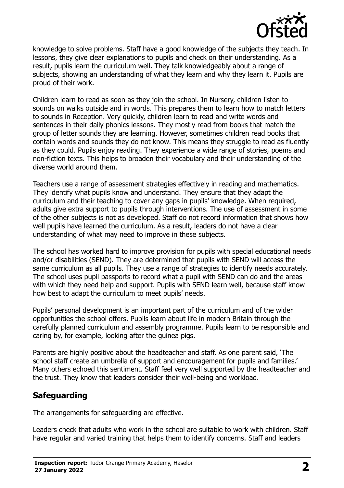

knowledge to solve problems. Staff have a good knowledge of the subjects they teach. In lessons, they give clear explanations to pupils and check on their understanding. As a result, pupils learn the curriculum well. They talk knowledgeably about a range of subjects, showing an understanding of what they learn and why they learn it. Pupils are proud of their work.

Children learn to read as soon as they join the school. In Nursery, children listen to sounds on walks outside and in words. This prepares them to learn how to match letters to sounds in Reception. Very quickly, children learn to read and write words and sentences in their daily phonics lessons. They mostly read from books that match the group of letter sounds they are learning. However, sometimes children read books that contain words and sounds they do not know. This means they struggle to read as fluently as they could. Pupils enjoy reading. They experience a wide range of stories, poems and non-fiction texts. This helps to broaden their vocabulary and their understanding of the diverse world around them.

Teachers use a range of assessment strategies effectively in reading and mathematics. They identify what pupils know and understand. They ensure that they adapt the curriculum and their teaching to cover any gaps in pupils' knowledge. When required, adults give extra support to pupils through interventions. The use of assessment in some of the other subjects is not as developed. Staff do not record information that shows how well pupils have learned the curriculum. As a result, leaders do not have a clear understanding of what may need to improve in these subjects.

The school has worked hard to improve provision for pupils with special educational needs and/or disabilities (SEND). They are determined that pupils with SEND will access the same curriculum as all pupils. They use a range of strategies to identify needs accurately. The school uses pupil passports to record what a pupil with SEND can do and the areas with which they need help and support. Pupils with SEND learn well, because staff know how best to adapt the curriculum to meet pupils' needs.

Pupils' personal development is an important part of the curriculum and of the wider opportunities the school offers. Pupils learn about life in modern Britain through the carefully planned curriculum and assembly programme. Pupils learn to be responsible and caring by, for example, looking after the guinea pigs.

Parents are highly positive about the headteacher and staff. As one parent said, 'The school staff create an umbrella of support and encouragement for pupils and families.' Many others echoed this sentiment. Staff feel very well supported by the headteacher and the trust. They know that leaders consider their well-being and workload.

## **Safeguarding**

The arrangements for safeguarding are effective.

Leaders check that adults who work in the school are suitable to work with children. Staff have regular and varied training that helps them to identify concerns. Staff and leaders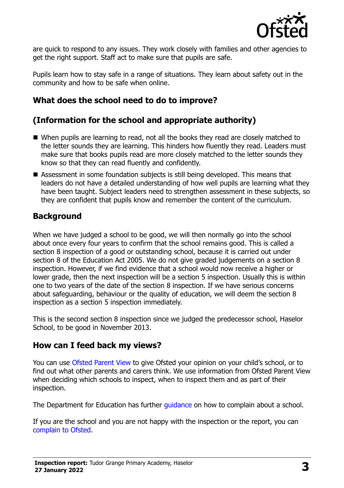

are quick to respond to any issues. They work closely with families and other agencies to get the right support. Staff act to make sure that pupils are safe.

Pupils learn how to stay safe in a range of situations. They learn about safety out in the community and how to be safe when online.

## **What does the school need to do to improve?**

## **(Information for the school and appropriate authority)**

- When pupils are learning to read, not all the books they read are closely matched to the letter sounds they are learning. This hinders how fluently they read. Leaders must make sure that books pupils read are more closely matched to the letter sounds they know so that they can read fluently and confidently.
- Assessment in some foundation subjects is still being developed. This means that leaders do not have a detailed understanding of how well pupils are learning what they have been taught. Subject leaders need to strengthen assessment in these subjects, so they are confident that pupils know and remember the content of the curriculum.

## **Background**

When we have judged a school to be good, we will then normally go into the school about once every four years to confirm that the school remains good. This is called a section 8 inspection of a good or outstanding school, because it is carried out under section 8 of the Education Act 2005. We do not give graded judgements on a section 8 inspection. However, if we find evidence that a school would now receive a higher or lower grade, then the next inspection will be a section 5 inspection. Usually this is within one to two years of the date of the section 8 inspection. If we have serious concerns about safeguarding, behaviour or the quality of education, we will deem the section 8 inspection as a section 5 inspection immediately.

This is the second section 8 inspection since we judged the predecessor school, Haselor School, to be good in November 2013.

## **How can I feed back my views?**

You can use [Ofsted Parent View](https://parentview.ofsted.gov.uk/) to give Ofsted your opinion on your child's school, or to find out what other parents and carers think. We use information from Ofsted Parent View when deciding which schools to inspect, when to inspect them and as part of their inspection.

The Department for Education has further [guidance](http://www.gov.uk/complain-about-school) on how to complain about a school.

If you are the school and you are not happy with the inspection or the report, you can [complain to Ofsted.](https://www.gov.uk/complain-ofsted-report)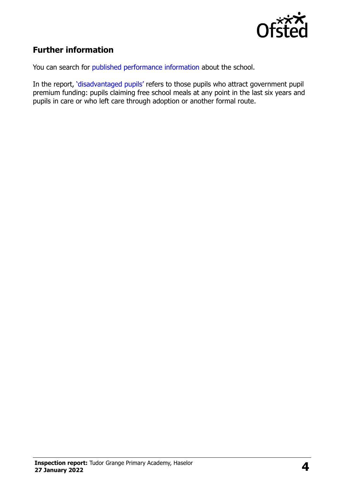

## **Further information**

You can search for [published performance information](http://www.compare-school-performance.service.gov.uk/) about the school.

In the report, '[disadvantaged pupils](http://www.gov.uk/guidance/pupil-premium-information-for-schools-and-alternative-provision-settings)' refers to those pupils who attract government pupil premium funding: pupils claiming free school meals at any point in the last six years and pupils in care or who left care through adoption or another formal route.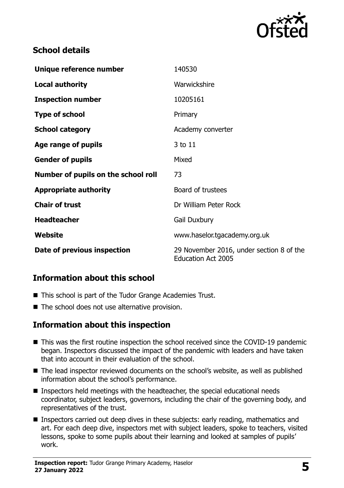

#### **School details**

| Unique reference number             | 140530                                                                |
|-------------------------------------|-----------------------------------------------------------------------|
| <b>Local authority</b>              | Warwickshire                                                          |
| <b>Inspection number</b>            | 10205161                                                              |
| <b>Type of school</b>               | Primary                                                               |
| <b>School category</b>              | Academy converter                                                     |
| Age range of pupils                 | 3 to 11                                                               |
| <b>Gender of pupils</b>             | Mixed                                                                 |
| Number of pupils on the school roll | 73                                                                    |
| <b>Appropriate authority</b>        | Board of trustees                                                     |
| <b>Chair of trust</b>               | Dr William Peter Rock                                                 |
| <b>Headteacher</b>                  | <b>Gail Duxbury</b>                                                   |
| Website                             | www.haselor.tgacademy.org.uk                                          |
| Date of previous inspection         | 29 November 2016, under section 8 of the<br><b>Education Act 2005</b> |

#### **Information about this school**

- This school is part of the Tudor Grange Academies Trust.
- $\blacksquare$  The school does not use alternative provision.

#### **Information about this inspection**

- This was the first routine inspection the school received since the COVID-19 pandemic began. Inspectors discussed the impact of the pandemic with leaders and have taken that into account in their evaluation of the school.
- The lead inspector reviewed documents on the school's website, as well as published information about the school's performance.
- Inspectors held meetings with the headteacher, the special educational needs coordinator, subject leaders, governors, including the chair of the governing body, and representatives of the trust.
- Inspectors carried out deep dives in these subjects: early reading, mathematics and art. For each deep dive, inspectors met with subject leaders, spoke to teachers, visited lessons, spoke to some pupils about their learning and looked at samples of pupils' work.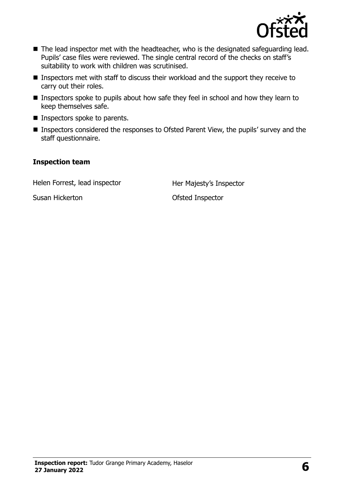

- The lead inspector met with the headteacher, who is the designated safeguarding lead. Pupils' case files were reviewed. The single central record of the checks on staff's suitability to work with children was scrutinised.
- Inspectors met with staff to discuss their workload and the support they receive to carry out their roles.
- **Inspectors spoke to pupils about how safe they feel in school and how they learn to** keep themselves safe.
- **Inspectors spoke to parents.**
- Inspectors considered the responses to Ofsted Parent View, the pupils' survey and the staff questionnaire.

#### **Inspection team**

Helen Forrest, lead inspector Her Majesty's Inspector

Susan Hickerton Ofsted Inspector